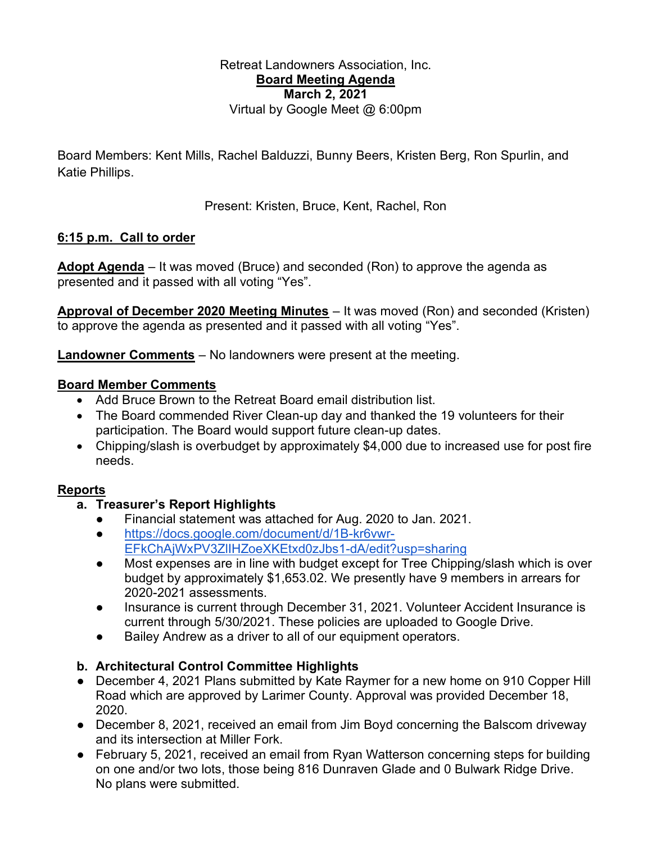#### Retreat Landowners Association, Inc. Board Meeting Agenda March 2, 2021 Virtual by Google Meet @ 6:00pm

Board Members: Kent Mills, Rachel Balduzzi, Bunny Beers, Kristen Berg, Ron Spurlin, and Katie Phillips.

Present: Kristen, Bruce, Kent, Rachel, Ron

### 6:15 p.m. Call to order

Adopt Agenda – It was moved (Bruce) and seconded (Ron) to approve the agenda as presented and it passed with all voting "Yes".

Approval of December 2020 Meeting Minutes – It was moved (Ron) and seconded (Kristen) to approve the agenda as presented and it passed with all voting "Yes".

Landowner Comments – No landowners were present at the meeting.

### Board Member Comments

- Add Bruce Brown to the Retreat Board email distribution list.
- The Board commended River Clean-up day and thanked the 19 volunteers for their participation. The Board would support future clean-up dates.
- Chipping/slash is overbudget by approximately \$4,000 due to increased use for post fire needs.

# Reports

# a. Treasurer's Report Highlights

- Financial statement was attached for Aug. 2020 to Jan. 2021.
- https://docs.google.com/document/d/1B-kr6vwr-EFkChAjWxPV3ZlIHZoeXKEtxd0zJbs1-dA/edit?usp=sharing
- Most expenses are in line with budget except for Tree Chipping/slash which is over budget by approximately \$1,653.02. We presently have 9 members in arrears for 2020-2021 assessments.
- Insurance is current through December 31, 2021. Volunteer Accident Insurance is current through 5/30/2021. These policies are uploaded to Google Drive.
- Bailey Andrew as a driver to all of our equipment operators.

# b. Architectural Control Committee Highlights

- December 4, 2021 Plans submitted by Kate Raymer for a new home on 910 Copper Hill Road which are approved by Larimer County. Approval was provided December 18, 2020.
- December 8, 2021, received an email from Jim Boyd concerning the Balscom driveway and its intersection at Miller Fork.
- February 5, 2021, received an email from Ryan Watterson concerning steps for building on one and/or two lots, those being 816 Dunraven Glade and 0 Bulwark Ridge Drive. No plans were submitted.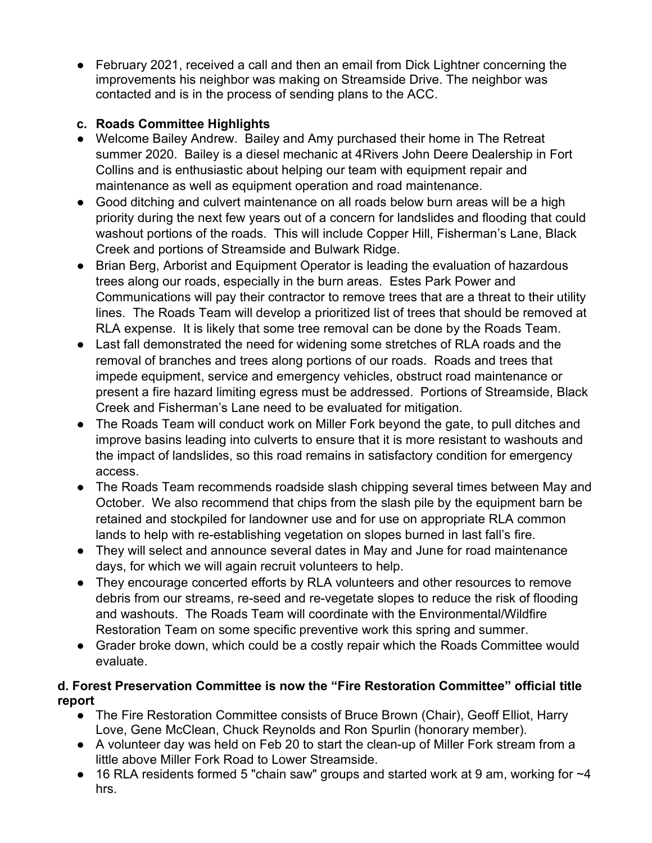● February 2021, received a call and then an email from Dick Lightner concerning the improvements his neighbor was making on Streamside Drive. The neighbor was contacted and is in the process of sending plans to the ACC.

# c. Roads Committee Highlights

- Welcome Bailey Andrew. Bailey and Amy purchased their home in The Retreat summer 2020. Bailey is a diesel mechanic at 4Rivers John Deere Dealership in Fort Collins and is enthusiastic about helping our team with equipment repair and maintenance as well as equipment operation and road maintenance.
- Good ditching and culvert maintenance on all roads below burn areas will be a high priority during the next few years out of a concern for landslides and flooding that could washout portions of the roads. This will include Copper Hill, Fisherman's Lane, Black Creek and portions of Streamside and Bulwark Ridge.
- Brian Berg, Arborist and Equipment Operator is leading the evaluation of hazardous trees along our roads, especially in the burn areas. Estes Park Power and Communications will pay their contractor to remove trees that are a threat to their utility lines. The Roads Team will develop a prioritized list of trees that should be removed at RLA expense. It is likely that some tree removal can be done by the Roads Team.
- Last fall demonstrated the need for widening some stretches of RLA roads and the removal of branches and trees along portions of our roads. Roads and trees that impede equipment, service and emergency vehicles, obstruct road maintenance or present a fire hazard limiting egress must be addressed. Portions of Streamside, Black Creek and Fisherman's Lane need to be evaluated for mitigation.
- The Roads Team will conduct work on Miller Fork beyond the gate, to pull ditches and improve basins leading into culverts to ensure that it is more resistant to washouts and the impact of landslides, so this road remains in satisfactory condition for emergency access.
- The Roads Team recommends roadside slash chipping several times between May and October. We also recommend that chips from the slash pile by the equipment barn be retained and stockpiled for landowner use and for use on appropriate RLA common lands to help with re-establishing vegetation on slopes burned in last fall's fire.
- They will select and announce several dates in May and June for road maintenance days, for which we will again recruit volunteers to help.
- They encourage concerted efforts by RLA volunteers and other resources to remove debris from our streams, re-seed and re-vegetate slopes to reduce the risk of flooding and washouts. The Roads Team will coordinate with the Environmental/Wildfire Restoration Team on some specific preventive work this spring and summer.
- Grader broke down, which could be a costly repair which the Roads Committee would evaluate.

# d. Forest Preservation Committee is now the "Fire Restoration Committee" official title report

- The Fire Restoration Committee consists of Bruce Brown (Chair), Geoff Elliot, Harry Love, Gene McClean, Chuck Reynolds and Ron Spurlin (honorary member).
- A volunteer day was held on Feb 20 to start the clean-up of Miller Fork stream from a little above Miller Fork Road to Lower Streamside.
- $\bullet$  16 RLA residents formed 5 "chain saw" groups and started work at 9 am, working for  $\sim$ 4 hrs.